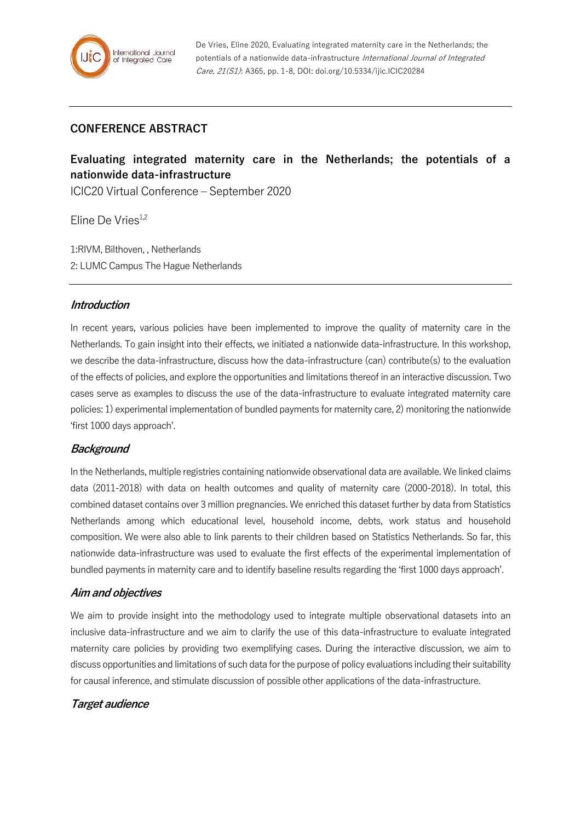## **CONFERENCE ABSTRACT**

# **Evaluating integrated maternity care in the Netherlands; the potentials of a nationwide data-infrastructure**

ICIC20 Virtual Conference – September 2020

Eline De Vries<sup>1,2</sup>

1:RIVM, Bilthoven, , Netherlands 2: LUMC Campus The Hague Netherlands

#### **Introduction**

In recent years, various policies have been implemented to improve the quality of maternity care in the Netherlands. To gain insight into their effects, we initiated a nationwide data-infrastructure. In this workshop, we describe the data-infrastructure, discuss how the data-infrastructure (can) contribute(s) to the evaluation of the effects of policies, and explore the opportunities and limitations thereof in an interactive discussion. Two cases serve as examples to discuss the use of the data-infrastructure to evaluate integrated maternity care policies: 1) experimental implementation of bundled payments for maternity care, 2) monitoring the nationwide 'first 1000 days approach'.

### **Background**

In the Netherlands, multiple registries containing nationwide observational data are available. We linked claims data (2011-2018) with data on health outcomes and quality of maternity care (2000-2018). In total, this combined dataset contains over 3 million pregnancies. We enriched this dataset further by data from Statistics Netherlands among which educational level, household income, debts, work status and household composition. We were also able to link parents to their children based on Statistics Netherlands. So far, this nationwide data-infrastructure was used to evaluate the first effects of the experimental implementation of bundled payments in maternity care and to identify baseline results regarding the 'first 1000 days approach'.

#### **Aim and objectives**

We aim to provide insight into the methodology used to integrate multiple observational datasets into an inclusive data-infrastructure and we aim to clarify the use of this data-infrastructure to evaluate integrated maternity care policies by providing two exemplifying cases. During the interactive discussion, we aim to discuss opportunities and limitations of such data for the purpose of policy evaluations including their suitability for causal inference, and stimulate discussion of possible other applications of the data-infrastructure.

### **Target audience**